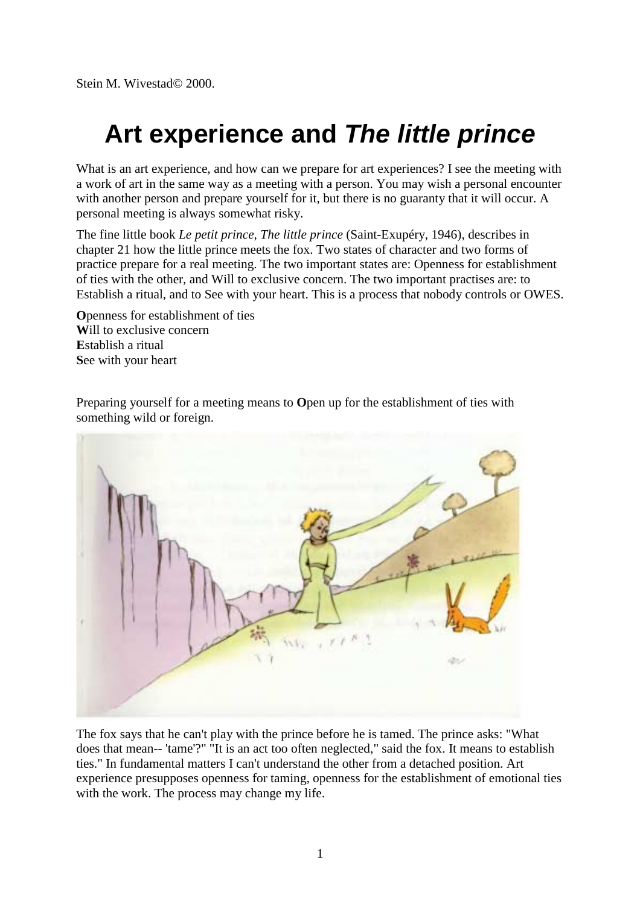Stein M. Wivestad© 2000.

## **Art experience and** *The little prince*

What is an art experience, and how can we prepare for art experiences? I see the meeting with a work of art in the same way as a meeting with a person. You may wish a personal encounter with another person and prepare yourself for it, but there is no guaranty that it will occur. A personal meeting is always somewhat risky.

The fine little book *Le petit prince, The little prince* (Saint-Exupéry, 1946), describes in chapter 21 how the little prince meets the fox. Two states of character and two forms of practice prepare for a real meeting. The two important states are: Openness for establishment of ties with the other, and Will to exclusive concern. The two important practises are: to Establish a ritual, and to See with your heart. This is a process that nobody controls or OWES.

**O**penness for establishment of ties **W**ill to exclusive concern **E**stablish a ritual **S**ee with your heart

Preparing yourself for a meeting means to **O**pen up for the establishment of ties with something wild or foreign.



The fox says that he can't play with the prince before he is tamed. The prince asks: "What does that mean-- 'tame'?" "It is an act too often neglected," said the fox. It means to establish ties." In fundamental matters I can't understand the other from a detached position. Art experience presupposes openness for taming, openness for the establishment of emotional ties with the work. The process may change my life.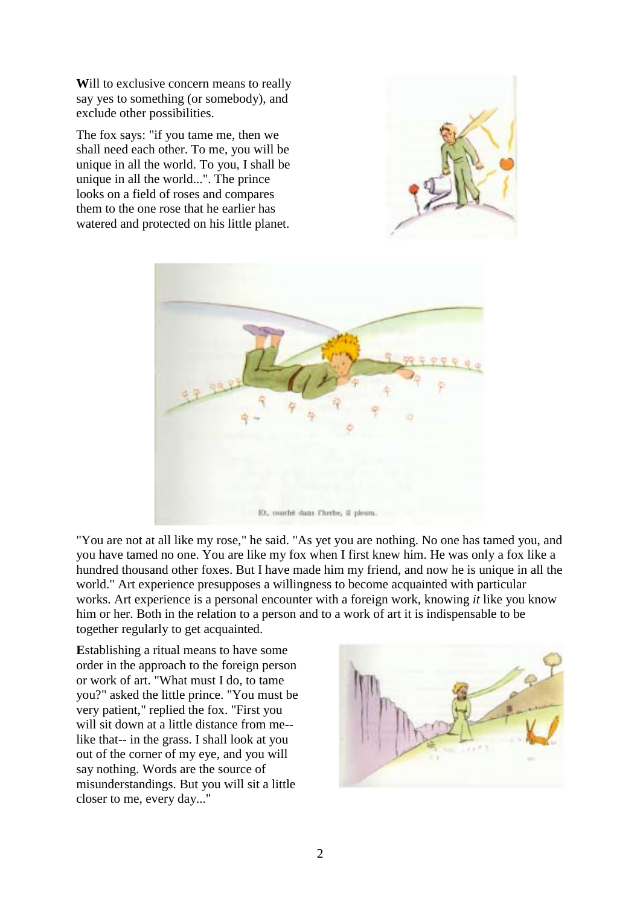**W**ill to exclusive concern means to really say yes to something (or somebody), and exclude other possibilities.

The fox says: "if you tame me, then we shall need each other. To me, you will be unique in all the world. To you, I shall be unique in all the world...". The prince looks on a field of roses and compares them to the one rose that he earlier has watered and protected on his little planet.





"You are not at all like my rose," he said. "As yet you are nothing. No one has tamed you, and you have tamed no one. You are like my fox when I first knew him. He was only a fox like a hundred thousand other foxes. But I have made him my friend, and now he is unique in all the world." Art experience presupposes a willingness to become acquainted with particular works. Art experience is a personal encounter with a foreign work, knowing *it* like you know him or her. Both in the relation to a person and to a work of art it is indispensable to be together regularly to get acquainted.

**E**stablishing a ritual means to have some order in the approach to the foreign person or work of art. "What must I do, to tame you?" asked the little prince. "You must be very patient," replied the fox. "First you will sit down at a little distance from me- like that-- in the grass. I shall look at you out of the corner of my eye, and you will say nothing. Words are the source of misunderstandings. But you will sit a little closer to me, every day..."